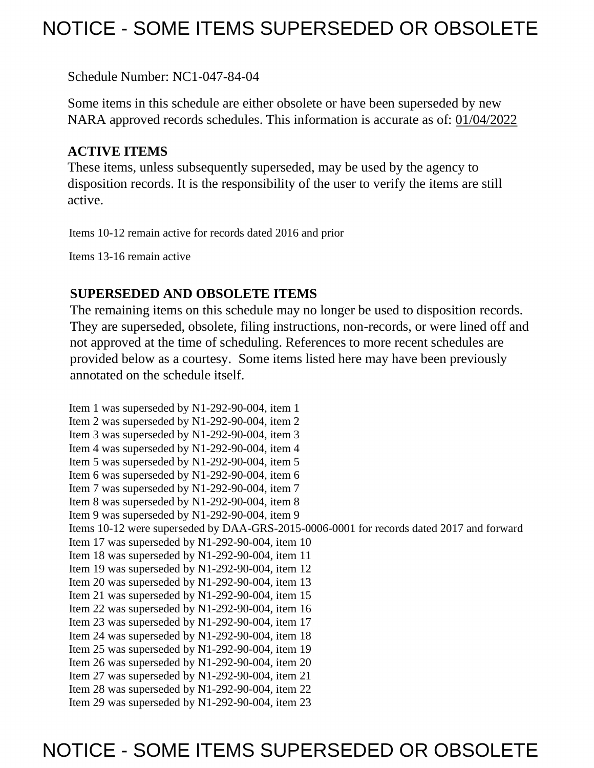# NOTICE - SOME ITEMS SUPERSEDED OR OBSOLETE

Schedule Number: NC1-047-84-04

 Some items in this schedule are either obsolete or have been superseded by new NARA approved records schedules. This information is accurate as of: 01/04/2022

# **ACTIVE ITEMS**

 These items, unless subsequently superseded, may be used by the agency to disposition records. It is the responsibility of the user to verify the items are still active.

Items 10-12 remain active for records dated 2016 and prior

Items 13-16 remain active

# **SUPERSEDED AND OBSOLETE ITEMS**

 The remaining items on this schedule may no longer be used to disposition records. not approved at the time of scheduling. References to more recent schedules are provided below as a courtesy. Some items listed here may have been previously They are superseded, obsolete, filing instructions, non-records, or were lined off and annotated on the schedule itself.

Item 1 was superseded by N1-292-90-004, item 1 Item 2 was superseded by N1-292-90-004, item 2 Item 3 was superseded by N1-292-90-004, item 3 Item 4 was superseded by N1-292-90-004, item 4 Item 5 was superseded by N1-292-90-004, item 5 Item 6 was superseded by N1-292-90-004, item 6 Item 7 was superseded by N1-292-90-004, item 7 Item 8 was superseded by N1-292-90-004, item 8 Item 9 was superseded by N1-292-90-004, item 9 Items 10-12 were superseded by DAA-GRS-2015-0006-0001 for records dated 2017 and forward Item 17 was superseded by N1-292-90-004, item 10 Item 18 was superseded by N1-292-90-004, item 11 Item 19 was superseded by N1-292-90-004, item 12 Item 20 was superseded by N1-292-90-004, item 13 Item 21 was superseded by N1-292-90-004, item 15 Item 22 was superseded by N1-292-90-004, item 16 Item 23 was superseded by N1-292-90-004, item 17 Item 24 was superseded by N1-292-90-004, item 18 Item 25 was superseded by N1-292-90-004, item 19 Item 26 was superseded by N1-292-90-004, item 20 Item 27 was superseded by N1-292-90-004, item 21 Item 28 was superseded by N1-292-90-004, item 22 Item 29 was superseded by N1-292-90-004, item 23

# NOTICE - SOME ITEMS SUPERSEDED OR OBSOLETE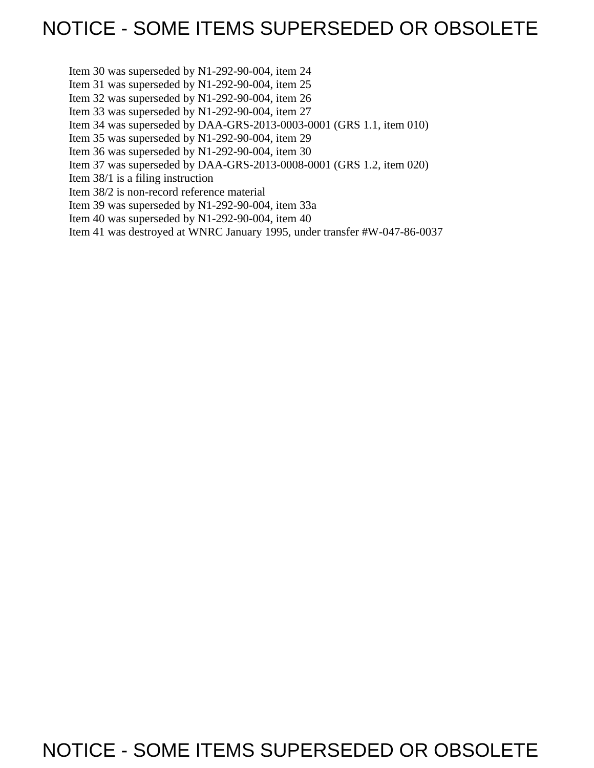# NOTICE - SOME ITEMS SUPERSEDED OR OBSOLETE

Item 30 was superseded by N1-292-90-004, item 24

Item 31 was superseded by N1-292-90-004, item 25

Item 32 was superseded by N1-292-90-004, item 26

Item 33 was superseded by N1-292-90-004, item 27

Item 34 was superseded by DAA-GRS-2013-0003-0001 (GRS 1.1, item 010)

Item 35 was superseded by N1-292-90-004, item 29

Item 36 was superseded by N1-292-90-004, item 30

Item 37 was superseded by DAA-GRS-2013-0008-0001 (GRS 1.2, item 020)

Item 38/1 is a filing instruction

Item 38/2 is non-record reference material

Item 39 was superseded by N1-292-90-004, item 33a

Item 40 was superseded by N1-292-90-004, item 40

Item 41 was destroyed at WNRC January 1995, under transfer #W-047-86-0037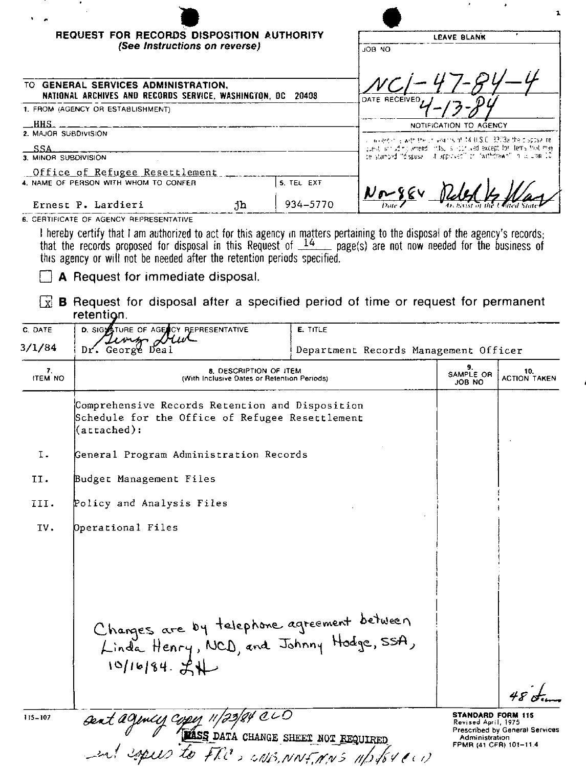| REQUEST FOR RECORDS DISPOSITION AUTHORITY<br>(See Instructions on reverse)<br>TO GENERAL SERVICES ADMINISTRATION.<br>NATIONAL ARCHIVES AND RECORDS SERVICE, WASHINGTON, DC 20408                                                                                                                                         |    |            | LEAVE BLANK            |                                                                                                                                   |  |
|--------------------------------------------------------------------------------------------------------------------------------------------------------------------------------------------------------------------------------------------------------------------------------------------------------------------------|----|------------|------------------------|-----------------------------------------------------------------------------------------------------------------------------------|--|
|                                                                                                                                                                                                                                                                                                                          |    |            | JOB NO                 |                                                                                                                                   |  |
|                                                                                                                                                                                                                                                                                                                          |    |            |                        |                                                                                                                                   |  |
| 1. FROM (AGENCY OR ESTABLISHMENT)                                                                                                                                                                                                                                                                                        |    |            |                        |                                                                                                                                   |  |
| HHS.                                                                                                                                                                                                                                                                                                                     |    |            | NOTIFICATION TO AGENCY |                                                                                                                                   |  |
| 2. MAJOR SUBDIVISION                                                                                                                                                                                                                                                                                                     |    |            |                        | is a communicate the incompany of 44 B.S.C. 33038 the discosalite                                                                 |  |
| SSA<br>3. MINOR SUBDIVISION                                                                                                                                                                                                                                                                                              |    |            |                        | guest in admit amends ints. Is spaced except for items that may<br>be stambed "dispusal intrapproved" on "withdrawn" in calumn 10 |  |
| Office of Refugee Resettlement                                                                                                                                                                                                                                                                                           |    |            |                        |                                                                                                                                   |  |
| 4. NAME OF PERSON WITH WHOM TO CONFER                                                                                                                                                                                                                                                                                    |    | 5. TEL EXT | $N_{0}-864$            |                                                                                                                                   |  |
| Ernest P. Lardieri                                                                                                                                                                                                                                                                                                       | jh | 934-5770   |                        |                                                                                                                                   |  |
| 6. CERTIFICATE OF AGENCY REPRESENTATIVE                                                                                                                                                                                                                                                                                  |    |            |                        |                                                                                                                                   |  |
| I hereby certify that I am authorized to act for this agency in matters pertaining to the disposal of the agency's records;<br>that the records proposed for disposal in this Request of $14$ page(s) are not now needed for the business of<br>this agency or will not be needed after the retention periods specified. |    |            |                        |                                                                                                                                   |  |
| <b>A</b> Request for immediate disposal.                                                                                                                                                                                                                                                                                 |    |            |                        |                                                                                                                                   |  |
| <b>B</b> Request for disposal after a specified period of time or request for permanent<br>$\mathbf{y}$<br>retention.                                                                                                                                                                                                    |    |            |                        |                                                                                                                                   |  |
| D. SIGERTURE OF AGENCY REPRESENTATIVE<br>C. DATE<br>win drue<br><b>AT ACTA</b>                                                                                                                                                                                                                                           |    | E. TITLE   |                        |                                                                                                                                   |  |

| 3/1/84               | Dr. George Deal                                                                                                                       | Department Records Management Officer |                                                                   |                                |  |
|----------------------|---------------------------------------------------------------------------------------------------------------------------------------|---------------------------------------|-------------------------------------------------------------------|--------------------------------|--|
| 7.<br><b>ITEM NO</b> | 8. DESCRIPTION OF ITEM<br>(With Inclusive Dates or Retention Periods)                                                                 | 9.<br>SAMPLE OR<br>JOB NO             | 10.<br>ACTION TAKEN                                               |                                |  |
|                      | Comprehensive Records Retention and Disposition<br>Schedule for the Office of Refugee Resettlement<br>$(\texttt{attached})$ :         |                                       |                                                                   |                                |  |
| Ι.                   | General Program Administration Records                                                                                                |                                       |                                                                   |                                |  |
| II.                  | Budget Management Files                                                                                                               |                                       |                                                                   |                                |  |
| III.                 | Policy and Analysis Files                                                                                                             |                                       |                                                                   |                                |  |
| IV.                  | Operational Files                                                                                                                     |                                       |                                                                   |                                |  |
| $115 - 107$          | Changes are by telephone agreement between<br>Linda Henry, NCD, and Johnny Hodge, SSA,<br>10/16/84.21<br>Bent agency copy 11/23/84 CU |                                       | <b>STANDARD FORM 115</b><br>Revised April, 1975<br>Administration | Prescribed by General Services |  |
|                      |                                                                                                                                       |                                       | FPMR (41 CFR) 101-11.4                                            |                                |  |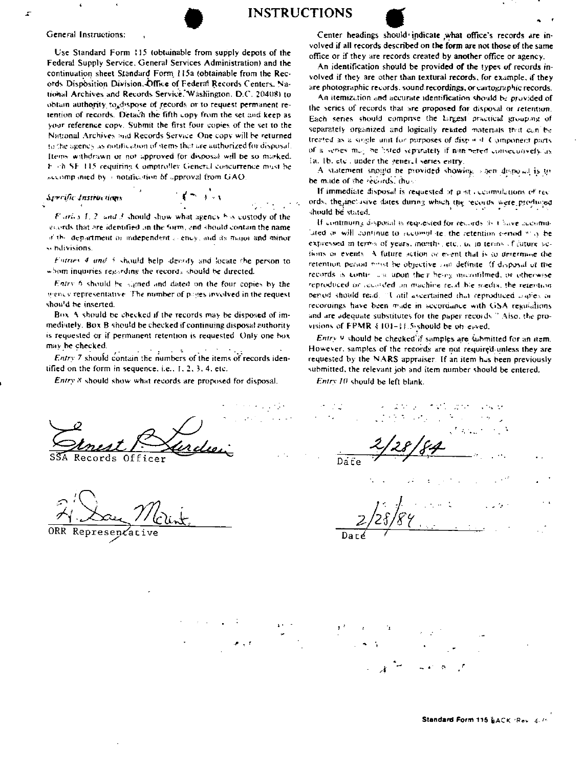

**INSTRUCTIONS** 



Use Standard Form 115 (obtainable from supply depots of the Federal Supply Service, General Services Administration) and the continuation sheet Standard Form 115a (obtainable from the Records Disposition Division. Office of Federal Records Centers. National Archives and Records Service. Washington, D.C. 20408) to obtain authority to dispose of records or to request permanent retention of records. Detach the fifth copy from the set and keep as your reference copy. Submit the first four copies of the set to the National Archives and Records Service. One copy will be returned to the agency as notification of items that are authorized for disposal. Items withdrawn or not approved for disposal will be so marked. F. ch SF. 115 requiring Comptroller General concurrence must be secomp inied by a notification of approval from GAO

## Servific Instructions

 $F$  aris s 1, 2, and 3, should show what agency has custody of the everds that are identified on the form, and should contain the name if the department or independent a lensy, and its major and minor » bdivisions.

Eurries 4 and 5 should help dennty and locate the person to whom inquiries regarding the records should be directed.

Entry 6 should be signed and dated on the four copies by the wency representative. The number of pages involved in the request should be inserted.

Box A should be checked if the records may be disposed of immediately. Box B should be checked if continuing disposal authority is requested or if permanent retention is requested. Only one box may be checked.  $\sim$  $\sim$ 

Entry 7 should contain the numbers of the items of records identified on the form in sequence, i.e., 1, 2, 3, 4, etc.

Entry 8 should show what records are proposed for disposal.

Officer cords

Representative

Center headings should indicate what office's records are involved if all records described on the form are not those of the same office or if they are records created by another office or agency.

An identification should be provided of the types of records involved if they are other than textural records, for example, if they are photographic records, sound recordings, or cartographic records.

An itemization and accurate identification should be provided of the series of records that are proposed for disposal or retention. Each series should comprise the largest practical grouping of separately organized and logically related materials that can be treated as a single unit for purposes of disposed. Component parts of a series may be listed separately if numbered consecuovely as (a. 1b, etc., under the general series entry,

A statement should be provided showing sinen disposal is to be made of the records, thus

If immediate disposal is requested at  $p$  ist a commutations of records, the inclusive dates during which the records were produced should be stated.

If continuing disposal is requested for resords to those accomulated as will continue to securing te, the retention certed at a be expressed in terms of years, months, etc., or in terms of juture scflows or events. A future setion or event that is to determine the retention person must be objective and definite. If disposal of the records is continuus upon their being manatilmed, or otherwise reproduced or recorded on machine read the media, the retention behod should read. "Until ascertained that reproduced alates or recordings have been made in accordance with GSA regulations and are adequate substitutes for the paper records." Also, the provisions of FPMR § 101-11.5 should be ob-ei-ved.

 $E$ ntry 9 should be checked if samples are submitted for an item. However, samples of the records are not required unless they are requested by the NARS appraiser. If an item has been previously submitted, the relevant job and item number should be entered.

Entry 10 should be left blank.

Dače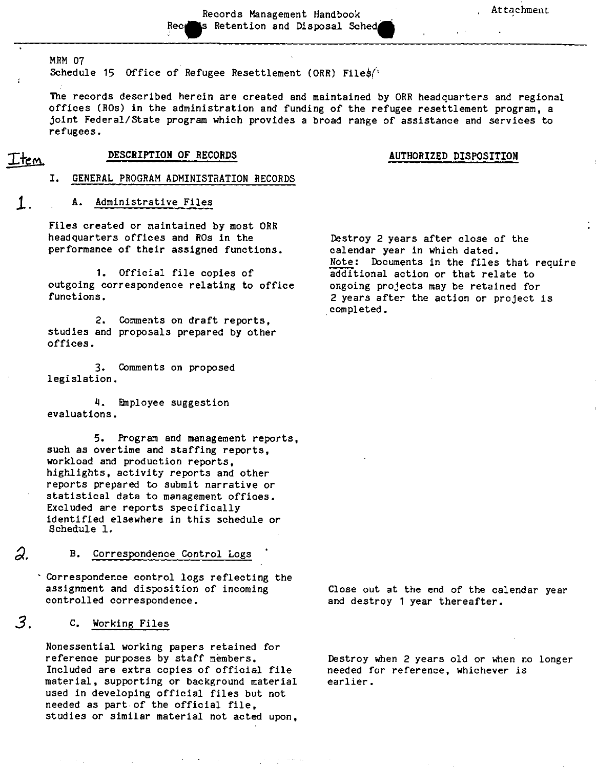Records Management Handbook and the cords Management Handbook Rec.s Retention and Disposal Sched.

MRM 07

Item.

Schedule 15 Office of Refugee Resettlement (ORR) File $s^{(i)}$ 

The records described herein are created and maintained by ORR headquarters and regional offices (ROs) in the administration and funding of the refugee resettlement program, a joint Federal/State program which provides a broad range of assistance and services to refugees.

# DESCRIPTION OF RECORDS AUTHORIZED DISPOSITION

# I. GENERAL PROGRAM ADMINISTRATION RECORDS

# A. Administrative Files

Files created or maintained by most ORR headquarters offices and ROs in the performance of their assigned functions.

outgoing correspondence relating to office functions.

2, Comments on draft reports, studies and proposals prepared by other offices.

3. Comments on proposed legislation.

4. Employee suggestion evaluations.

5. Program and management reports, such as overtime and staffing reports, workload and production reports, highlights, activity reports and other reports prepared to submit narrative or statistical data to management offices. Excluded are reports specifically identified elsewhere in this schedule or Schedule 1.

# *{),* B, Correspondence Control Logs

Correspondence control logs reflecting the assignment and disposition of incoming Close out at the end of the calendar year controlled correspondence.

# *3.* c. Working Files

Nonessential working papers retained for reference purposes by staff members. Destroy when 2 years old or when no longer Included are extra copies of official file and the reference, whichever is material, supporting or background material and earlier. material, supporting or background material used in developing official files but not needed as part of the official file, studies or similar material not acted upon,

Destroy 2 years after close of the calendar year in which dated. Note: Documents in the files that require 1. Official file copies of **additional action or that relate to** correspondence relating to office **and opening** projects may be retained for 2 years after the action or project is .completed.

and destroy 1 year thereafter.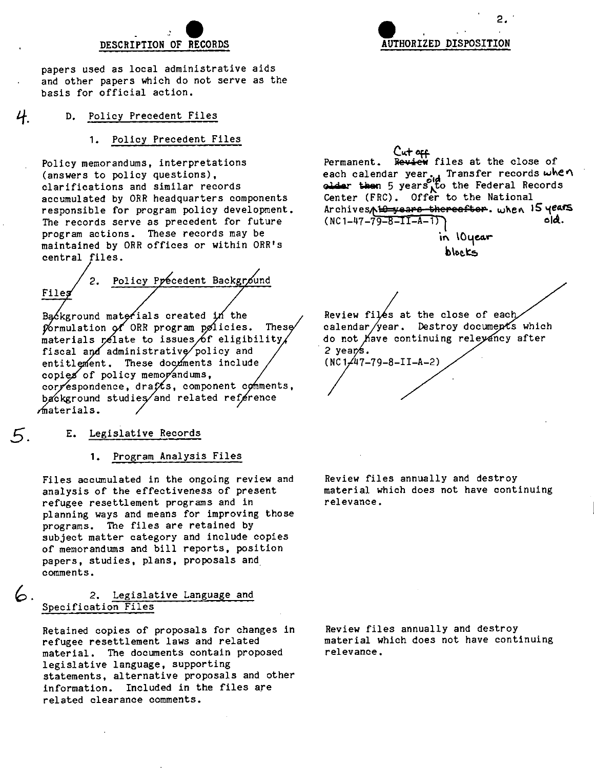# DESCRIPTION OF RECORDS AUTHORIZED DISPOSITION

papers used as local administrative aids and other papers which do not serve as the basis for official action,

# lf. D, Policy Precedent Files

# 1. Policy Precedent Files

Policy memorandums, interpretations (answers to policy questions), clarifications and similar records accumulated by ORR headquarters components responsible for program policy development. The records serve as precedent for future program actions. These records may be maintained by ORR offices or within ORR's central files.

2. Policy Precedent Background File

Background materials created in the pormulation of ORR program policies. These materials relate to issues of eligibility, fiscal and administrative policy and entitlement. These documents include copies of policy memorandums, correspondence, drafts, component comments, background studies/and related reference aterials.

# *5.* E. Legislative Records

# 1. Program Analysis Files

Files accumulated in the ongoing review and analysis of the effectiveness of present refugee resettlement programs and in planning ways and means for improving those programs. The files are retained by subject matter category and include copies of memorandums and bill reports, position papers, studies, plans, proposals and comments.

# $\epsilon$ . 2. Legislative Language and Specification Files

Retained copies of proposals for changes in refugee resettlement laws and related material. The documents contain proposed legislative language, supporting statements, alternative proposals and other information. Included in the files are related clearance comments.

**Cut off**<br>Permanent. Review files at the close of each calendar year.<sub>id</sub> Transfer records when<br>alder then 5 years to the Federal Records Center (FRC). Offer to the National Archives At the seare the reafter. when IS years (NC1-47-79-R-TT-A-T)  $(NC1-47-79-8-11-A-1)$ **·u,** \()I.\**u..-**

 $\frac{1}{2}$ 

Review files at the close of each, calendar/year. Destroy documents which do not have continuing relevancy after 2 years.  $(NC1/47-79-8-II-A-2)$ 

Review files annually and destroy material which does not have continuing relevance.

Review files annually and destroy material which does not have continuing relevance.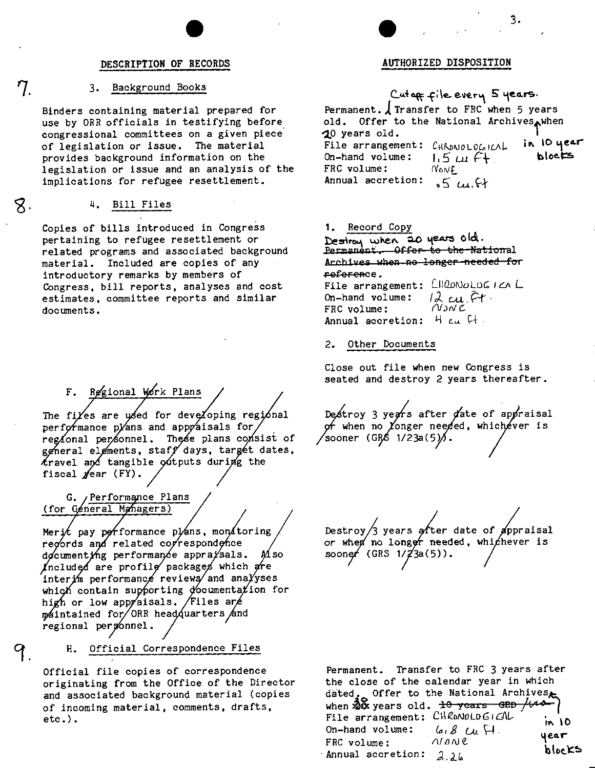#### Background Books  $3.$

Binders containing material prepared for use by ORR officials in testifying before congressional committees on a given piece of legislation or issue. The material provides background information on the legislation or issue and an analysis of the implications for refugee resettlement.

#### Bill Files 4.

Copies of bills introduced in Congress pertaining to refugee resettlement or related programs and associated background material. Included are copies of any introductory remarks by members of Congress, bill reports, analyses and cost estimates, committee reports and similar documents.

Regional Work Plans F.

The files are used for developing regional performance plans and appraisals for/ regional personnel. These plans consist of general elements, staff days, target dates,  $\ell$ ravel and tangible outputs during the fiscal  $\mathcal{J}$ ear (FY).

# G. / Performance Plans (for General Managers)

Merit pay performance plans, monitoring regords and related correspondence døcumenting performance appraisals. Al so Included are profile packages which are interim performance reviews and analyses which contain supporting documentation for high or low appyaisals. Files are maintained for/ORR headquarters and regional personnel.

 $8.$ 

Official Correspondence Files

Official file copies of correspondence originating from the Office of the Director and associated background material (copies of incoming material, comments, drafts,  $etc.$ ).

# **AUTHORIZED DISPOSITION**

Cutage file every 5 years.

Permanent.  $\int$  Transfer to FRC when 5 years old. Offer to the National Archives when 20 years old. in 10 year File arrangement: CHADNOLOGICAL blocks On-hand volume:  $1.5 \mu$   $F$ + FRC volume: NONE Annual accretion:  $\sqrt{5}$   $\mu$ . Ft

1. Record Copy Destroy when 20 years old. Permanent. Offer to the National Anchives when no longer needed for reference. File arrangement: LHQONOLOGICAL On-hand volume:  $12 \mu$ .  $c$ t.  $N$ JNC FRC volume: Annual accretion: H cu Ft.

Other Documents  $2.$ 

Close out file when new Congress is seated and destroy 2 years thereafter.

Destroy 3 years after date of appraisal of when no Yonger needed, which ever is /sooner (GRS 1/23a(5)/ .

Destroy/3 years after date of appraisal or when no longer needed, whichever is  $(GRS \ 1/\cancel{2}3a(5))$ . sooner

Permanent. Transfer to FRC 3 years after the close of the calendar year in which dated. Offer to the National Archives when 20 years old.  $\frac{10 \text{ years}}{10 \text{ years}}$  GED /44 File arrangement: CHR6NOLOGICAL in 10  $6.8$   $Cu$  H. On-hand volume: year  $N$  ON  $C$ FRC volume: plocks Annual accretion:  $2.26$ 

3.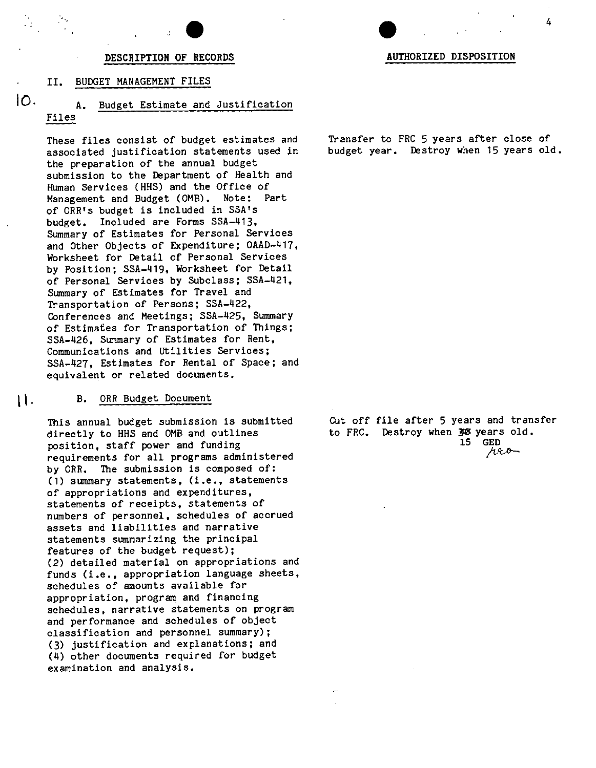# II, BUDGET MANAGEMENT FILES

# 10. **A.** Budget Estimate and Justification Files -

These files consist of budget estimates and associated justification statements used in the preparation of the annual budget submission to the Department of Health and Human Services (HHS) and the Office of Management and Budget (0MB). Note: Part of ORR's budget is included in SSA's budget, Included are Forms SSA-413, Summary of Estimates for Personal Services and Other Objects of Expenditure; OAAD-417, Worksheet for Detail of Personal Services by Position; SSA-419, Worksheet for Detail of Personal Services by Subclass; SSA-421, Summary of Estimates for Travel and Transportation of Persons; SSA-422, Conferences and Meetings; SSA-425, Summary of Estimates for Transportation of Things; SSA-426, Summary of Estimates for Rent, Communications and Utilities Services; SSA-427, Estimates for Rental of Space; and equivalent or related documents,

# 1. B. ORR Budget Document

This annual budget submission is submitted directly to HHS and 0MB and outlines position, staff power and funding requirements for all programs administered by ORR. The submission is composed of: (1) summary statements, (i.e., statements of appropriations and expenditures, statements of receipts, statements of numbers of personnel, schedules of accrued assets and liabilities and narrative statements summarizing the principal features of the budget request); (2) detailed material on appropriations and funds (i.e., appropriation language sheets, schedules of amounts available for appropriation, program and financing schedules, narrative statements on program and performance and schedules of object classification and personnel summary); (3) justification and explanations; and (4) other documents required for budget examination and analysis,

Transfer to FRC 5 years after close of budget year. Destroy when 15 years old.

Cut off file after 5 years and transfer to FRC. Destroy when 30 years old. 15 GED  $Aeco-$ 

RECORDS AUTHORIZED DISPOSITION DESCRIPTION OF RECORDS **AUTHORIZED DISPOSITION**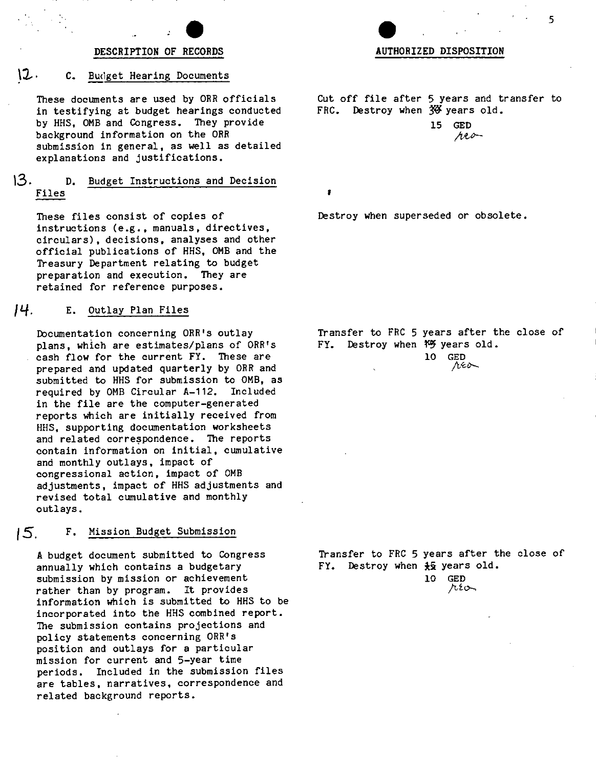## **\1,** • C. Buciget Hearing Documents

These documents are used by ORR officials in testifying at budget hearings conducted by HHS, 0MB and Congress. They provide background information on the ORR submission in general, as well as detailed explanations and justifications.

# \3. D. Budget Instructions and Decision Files

These files consist of copies of instructions (e.g., manuals, directives, circulars), decisions, analyses and other official publications of HHS, 0MB and the Treasury Department relating to budget preparation and execution. They are retained for reference purposes.

# /L/. E. Outlay Plan Files

Documentation concerning ORR's outlay plans, which are estimates/plans of ORR's cash flow for the current FY. These are prepared and updated quarterly by ORR and submitted to HHS for submission to 0MB, as required by 0MB Circular A-112. Included in the file are the computer-generated reports which are initially received from HHS, supporting documentation worksheets and related correspondence. The reports contain information on initial, cumulative and monthly outlays, impact of congressional action, impact of 0MB adjustments, impact of HHS adjustments and revised total cumulative and monthly outlays.

# */5.* F. Mission Budget Submission

A budget document submitted to Congress annually which contains a budgetary submission by mission or achievement rather than by program. It provides information which is submitted to HHS to be incorporated into the HHS combined report. The submission contains projections and policy statements concerning ORR's position and outlays for a particular mission for current and 5-year time periods. Included in the submission files are tables, narratives, correspondence and related background reports.

# expressed and the set of the set of the set of the set of the set of the set of the set of the set of the set of the set of the set of the set of the set of the set of the set of the set of the set of the set of the set of DESCRIPTION OF RECORDS **AUTHORIZED DISPOSITION**

Cut off file after 5 years and transfer to FRC. Destroy when 3<del>0</del> years old.

> 15 GED  $/$

Destroy when superseded or obsolete.

 $\bullet$ 

Transfer to FRC 5 years after the close of FY. Destroy when 75 years old.

> 10 GED  $\lambda$ eo

Transfer to FRC 5 years after the close of FY. Destroy when  $\frac{1}{2}$  years old.

> 10 GED  $\hbar$ io-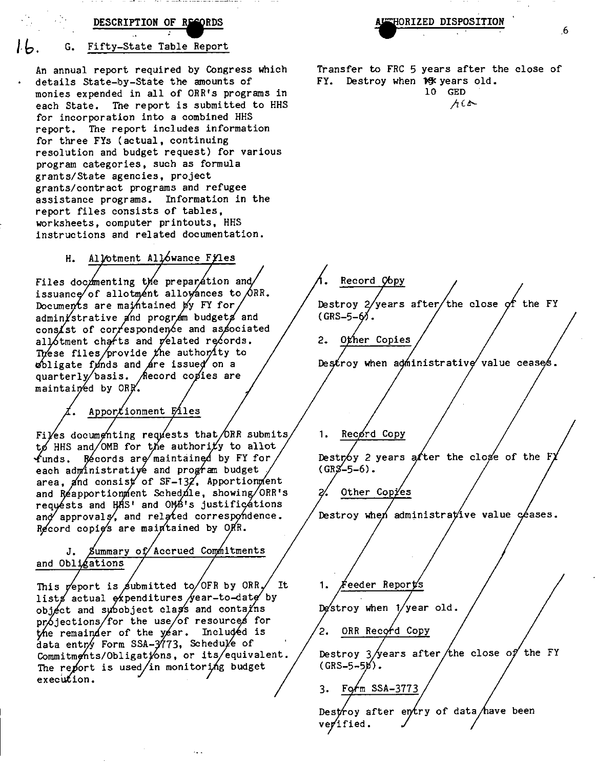#### Fifty-State Table Report G.

An annual report required by Congress which details State-by-State the amounts of monies expended in all of ORR's programs in each State. The report is submitted to HHS for incorporation into a combined HHS report. The report includes information for three FYs (actual, continuing resolution and budget request) for various program categories, such as formula grants/State agencies, project grants/contract programs and refugee assistance programs. Information in the report files consists of tables, worksheets, computer printouts, HHS instructions and related documentation.

> Allotment Allowance Files Н.

Files doc*i*menting the preparation and/ issuance/of allotment allowances to ORR. Documents are maintained by FY for, administrative and program budgets and consist of correspondence and associated allótment charts and pelated records. These files/provide the authority to obligate funds and are issued on a quarterly/basis. Aecord copies are maintained by ORR.

Apportionment Files

Files documenting requests that/ORR submits, to HHS and/OMB for the authority to allot funds. Récords are maintained by FY for each administrative and program budget area, and consist of  $SF-132$ , Apportiong ent and Reapportionment Schedule, showing/ORR's requésts and HAS' and OMS's justifications and approvals, and related correspondence. Record copies are maintained by ORR.

Summary of Accrued Commitments J. and Obligations

This peport is submitted to/OFR by ORR. It lists actual expenditures /year-to-date by object and subobject class and contains prójections/for the use/of resources for the remainder of the year. Included is data entry Form SSA-3773, Schedule of Commitments/Obligations, or its/equivalent. The report is used/in monitoring budget execution.

**HORIZED DISPOSITION** 

Transfer to FRC 5 years after the close of FY. Destroy when MS years old. 10 GED  $AC\rightarrow$ 

Record Copy Destroy 2/years after/the close of the FY  $(GRS-5-6)$ .

2. Other Copies

Destroy when administrative value ceases

Record Copy 1.

Destroy 2 years after the close of the F)  $(GR\% - 5 - 6)$ .

Other Copyes

Destroy when administrative value céases.

Feeder Report's 1. Destroy when 1/year old.

ORR Record Copy

3. Form SSA-3773

Destroy  $3$ /years after/the close of the FY  $(GRS - 5 - 5)$ ).

Destroy after entry of data have been verified.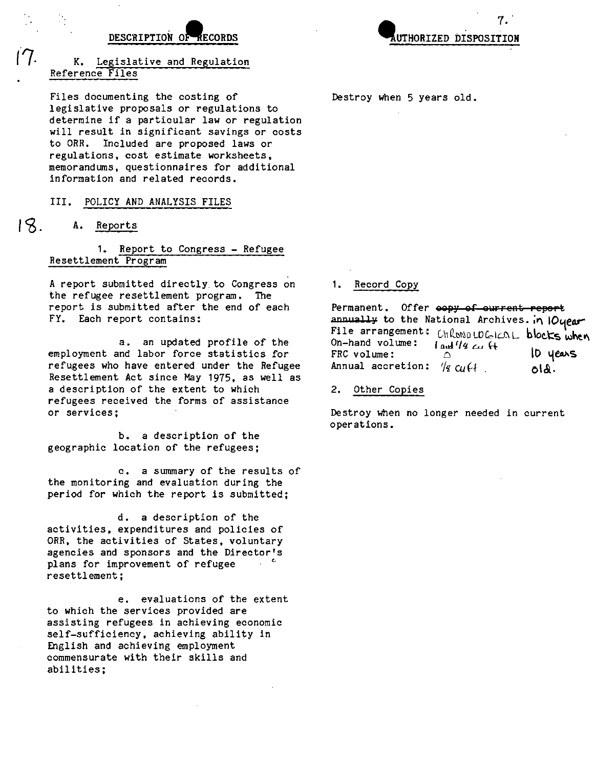**K.** Legislative and Regulation Reference Files

Files documenting the costing of legislative proposals or regulations to determine if a particular law or regulation will result in significant savings or costs to ORR. Included are proposed laws or regulations, cost estimate worksheets, memorandums, questionnaires for additional information and related records.

III. POLICY AND ANALYSIS FILES

# / ~. A. Reports

1. Report to Congress - Refugee Resettlement Program

A report submitted directly. to Congress on the refugee resettlement program. The report is submitted after the end of each FY. Each report contains:

a. an updated profile of the employment and labor force statistics for refugees who have entered under the Refugee Resettlement Act since May 1975, as well as a description of the extent to which refugees received the forms of assistance **or services;** 

b. a description of the geographic location of the refugees;

c. a summary of the results of the monitoring and evaluation during the period for which the report is submitted;

d. a description of the activities, expenditures and policies of ORR, the activities of States, voluntary agencies and sponsors and the Director's plans for improvement of refugee < resettlement;

e. evaluations of the extent to which the services provided are assisting refugees in achieving economic self-sufficiency, achieving ability in English and achieving employment commensurate with their skills and abilities;

Destroy when 5 years old.

# **1.** Record Copy

Permanent. Offer **eepy** of ourrent report annually to the National Archives. in *IO year* File arrangement: ChronoLOGICAL **blocks** when<br>On-hand volume:  $1.144 \times 10^{-11}$ On-hand volume: I and '/4 cu +<br>FRC volume: 0 10 years Annual accretion:  $\frac{1}{2}$  cuff olâ.

7.

**-UTHORIZED DISPOSITION** 

2. Other Copies

Destroy when no longer needed in current operations.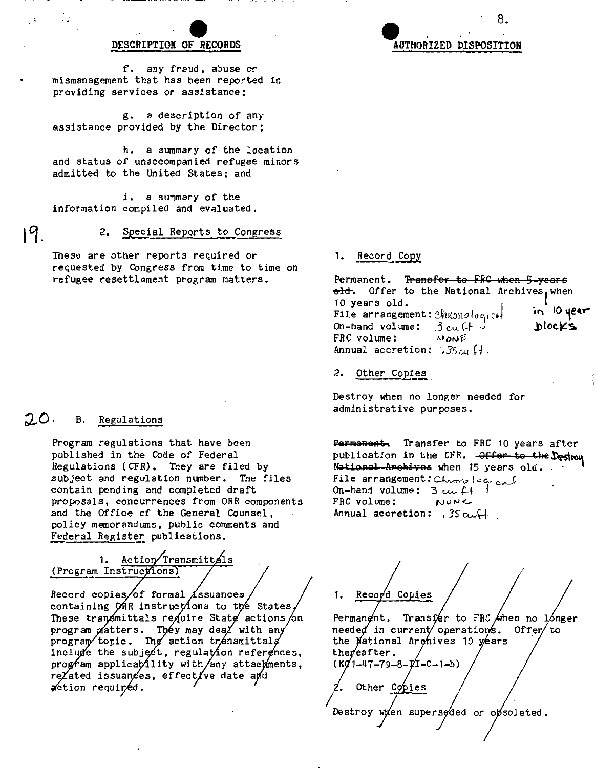f. any fraud, abuse or mismanagement that has been reported in providing services or assistance;

g. a description of any assistance provided by the Director;

h. a summary of the location and status of unaccompanied refugee minors admitted to the United States; and

i. a summary of the information compiled and evaluated.

#### 19. 2. Special Reports to Congress

These are other reports required or requested by Congress from time to time on refugee resettlement program matters.

#### QO. **B.** Regulations

Program regulations that have been published in the Code of Federal Regulations (CFR). They are filed by subject and regulation number. The files contain pending and completed draft proposals, concurrences from ORR components and the Office of the General Counsel, policy memorandums, public comments and Federal Register publications.

1. Action/Transmittels (Program Instructions)

Record copies/of formal Assuances containing ORR instructions to the States. These transmittals reguire State actions on program matters. They may deal with any<br>program topic. The action transmittals include the subject, regulation references, program applicability with/any attachments, related issuandes, effective date and action required.

# **AUTHORIZED DISPOSITION**

# 1. Record Copy

Permanent. Transfer-to FRC when 5 years old. Offer to the National Archives, when 10 years old. in 10 year File arrangement: Chlonological On-hand volume:  $3 \mu H J$ DIOCKS FRC volume: NONE Annual accretion:  $35 \text{ cm} + 1$ .

 $2.$ Other Copies

Destroy when no longer needed for administrative purposes.

Permanent. Transfer to FRC 10 years after publication in the CFR. - Offer to the Deshou National Archives when 15 years old. File arrangement: Chrone logical On-hand volume:  $3 \omega \hat{+}$ NUNC FRC volume: Annual accretion:  $.35 \text{cm}$ H.

Record Copies 1.

Other Copies

Permangnt. Transfer to FRC when no longer needed in current operations. Offer to the Mational Arghives 10 years thereafter.  $(NQ'1 - 47 - 79 - 8 - Y1 - C - 1 - b)$ 

Destroy when superseded or obsoleted.

8.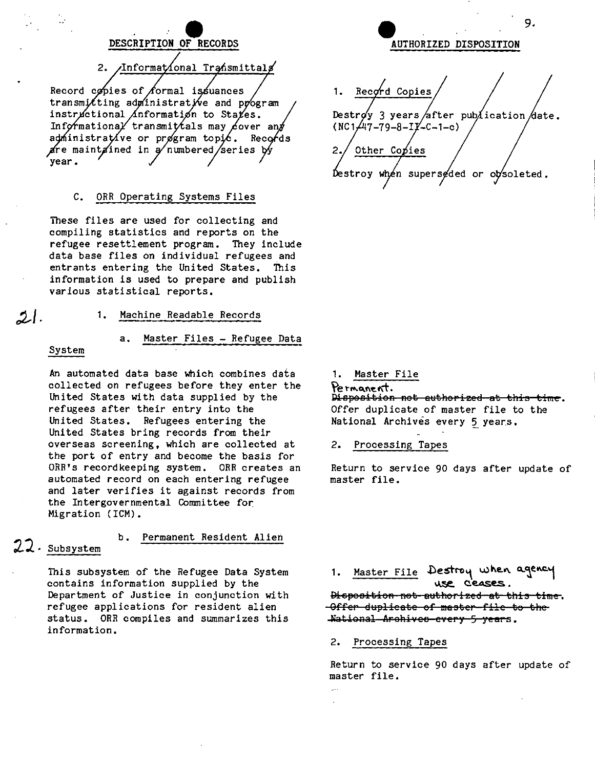DESCRIPTION OF RECORDS

2. Informational Transmittals

Record expies of formal is suances transmitting administrative and program instructional information to States. Informational transmit tals may cover and administrat∕ive or prøgram topić. Records are maintained in a numbered series by year.

# C. ORR Operating Systems Files

These files are used for collecting and compiling statistics and reports on the refugee resettlement program. They include data base files on individual refugees and entrants entering the United States. This information is used to prepare and publish various statistical reports.

21.

#### Machine Readable Records  $1.$

# System

Master Files - Refugee Data  $a<sub>z</sub>$ 

An automated data base which combines data collected on refugees before they enter the United States with data supplied by the refugees after their entry into the United States. Refugees entering the United States bring records from their overseas screening, which are collected at the port of entry and become the basis for ORR's recordkeeping system. ORR creates an automated record on each entering refugee and later verifies it against records from the Intergovernmental Committee for Migration (ICM).

b. Permanent Resident Alien

22. Subsystem

This subsystem of the Refugee Data System contains information supplied by the Department of Justice in conjunction with refugee applications for resident alien status. ORR compiles and summarizes this information.

**AUTHORIZED DISPOSITION** Record Copies

Destroy 3 years /after pub/lication /date.  $(NC1/47-79-8-17-C-1-c)$ 

Other Copies 2. Destroy when superseded or obsoleted.

## 1. Master File

1.

Permanent. Disposition not authorized at this time. Offer duplicate of master file to the National Archives every 5 years.

#### $2.$ Processing Tapes

Return to service 90 days after update of master file.

#### Destroy when agency Master File 1. use ceases.

Disposition not authorized at this time. -Offer duplicate of master-file to the National Archives every 5 years.

# 2. Processing Tapes

Return to service 90 days after update of master file.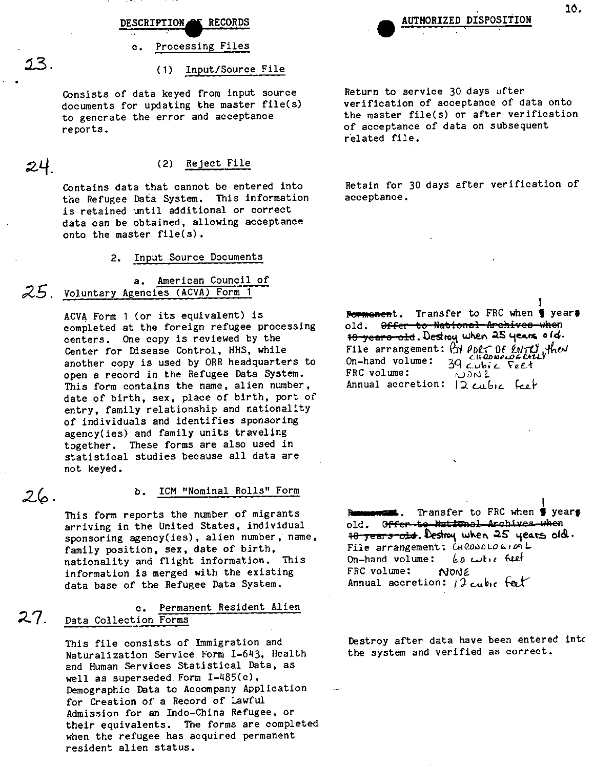c. Processing Files

13. (1) Input/Source File<br>Consists of data keyed from input source documents for updating the master file(s) to generate the error and acceptance reports.

 $24.$ 

# (2) Reject File

Contains data that cannot be entered into the Refugee Data System. This information is retained until additional or correct data can be obtained, allowing acceptance onto the master file(s).

# 2. Input Source Documents

# a. American Council of 25. Voluntary Agencies (ACVA) Form 1

ACVA Form 1 (or its equivalent) is completed at the foreign refugee processing centers. One copy is reviewed by the Center for Disease Control, HHS, while another copy is used by ORR headquarters to open a record in the Refugee Data System. This form contains the name, alien number, date of birth, sex, place of birth, port of entry, family relationship and nationality of individuals and identifies sponsoring agency(ies) and family units traveling together. These forms are also used in statistical studies because all data are not keyed.

 $26.$ 

# ICM "Nominal Rolls" Form

This form reports the number of migrants arriving in the United States, individual sponsoring agency( ies), alien number, name, family position, sex, date of birth, nationality and flight information. This information is merged with the existing data base of the Refugee Data System.

#### c. Permanent Resident Alien  $27.$ Data Collection Forms

This file consists of Immigration and Naturalization Service Form I-643, Health and Human Services Statistical Data, as well as superseded.Form I-485(c), Demographic Data to Accompany Application for Creation of a Record of Lawful Admission for an Indo-China Refugee, or their equivalents. The forms are completed when the refugee has acquired permanent resident alien status.

Return to service 30 days ufter verification of acceptance of data onto the master file(s) or after verification of acceptance of data on subsequent related file.

AUTHORIZED DISPOSITION

**•** 

Retain for 30 days after verification of acceptance.

I **Formenent.** Transfer to FRC when **1** years **old.** Offer to National Archives when 1<del>0 years old</del>. Destroy when 25 years old. File arrangement:  $6/1$  PDRT Of ENTRY, they On-hand volume: 39 *LII-DONPLOG CATLY* On-hand volume: 39 cubic Feet<br>FRC volume: WDNE Annual accretion: 12 cubic Feet

I ansfer to FRC when **5** years Remember 2006  $old.$  Offer to National Archives when ~ **yea1 s o;W. i:lesltoo.t** *wt.e"* **.:2.S 'ieo..t:!:> ol&.**  File arrangement:  $\hat{L}$  and  $\hat{L}$ On-hand volume:  $\&\circ\;\;\omega\mathrm{tr}\;\;\phi$ FRC volume: None Annual accretion:  $12$  cubic feel

Destroy after data have been entered intc the system and verified as correct.

10.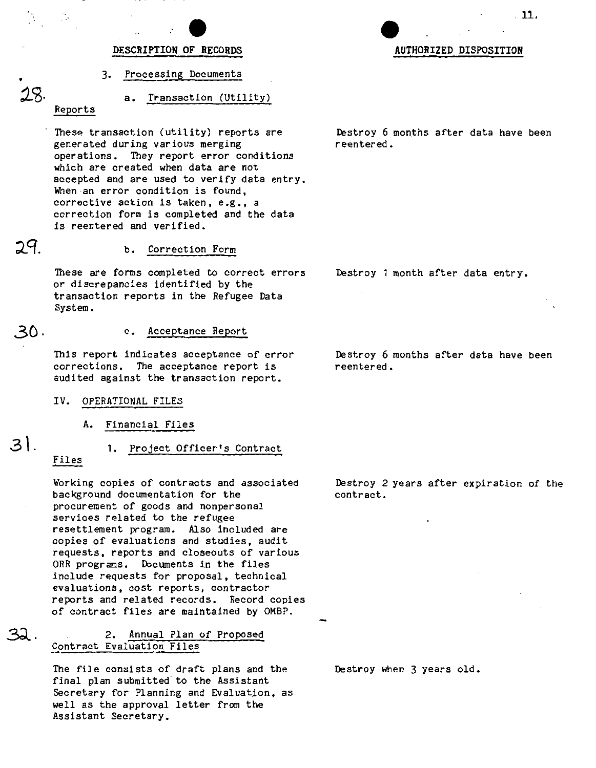# F RECORDS AUTHO

3. Processing Documents

•

# Transaction (Utility)

Reports

These transaction (utility) reports are generated during various merging operations. They report error conditions which are created when data are not accepted and are used to verify data entry. When an error condition is found. corrective action is taken, e.g., a correction form is completed and the data is reentered and verified.

#### 29. b. Correction Form

These are forms completed to correct errors or discrepancies identified by the transaction reports in the Refugee Data System.

30.

# c. Acceptance Report

This report indicates acceptance of error corrections. The acceptance report is audited against the transaction report.

- IV. OPERATIONAL FILES
	- A. Financial Files
- 31. 1. Project Officer's Contract Files

Working copies of contracts and associated background documentation for the procurement of goods and nonpersonal services related to the refugee resettlement program. Also included are copies of evaluations and studies, audit requests, reports and closeouts of various ORR programs. Documents in the files include requests for proposal, technical evaluations, cost reports, contractor reports and related records. Record copies of contract files are maintained by OMBP.

# 32. 2. Annual Plan of Proposed Contract Evaluation Files

The file consists of draft plans and the final plan submitted to the Assistant Secretary for Planning and Evaluation, as well as the approval letter from the Assistant Secretary.

Destroy 6 months after data have been reentered.

Destroy 1 month after data entry.

Destroy 6 months after data have been reentered.

Destroy 2 years after expiration of the contract.

Destroy when 3 years old.

11.

## **DESCRIPTION OF RECORDS AUTHORIZED DISPOSITION**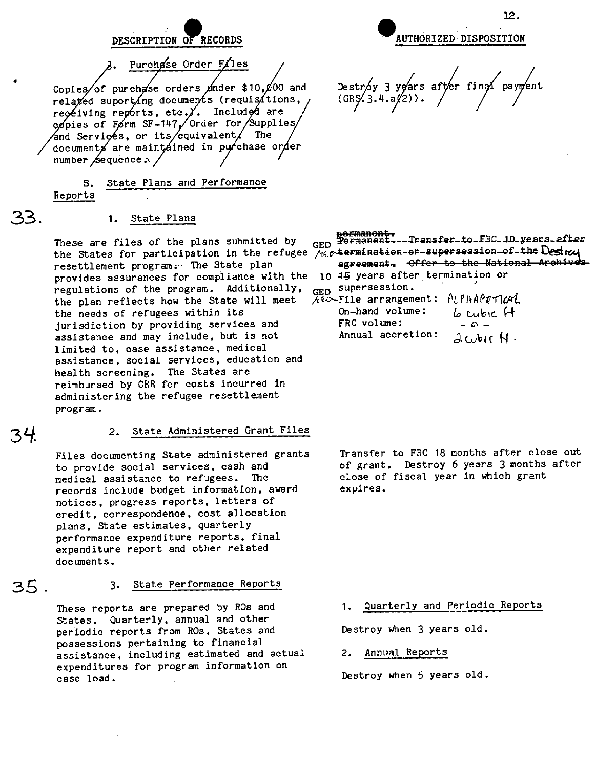Purchase Order Files

12. **AUTHORIZED DISPOSITION** 

Destroy 3 years after final payment<br>(GRS. 3.4.a/2)).

Copies/of purchase orders under \$10,000 and relazed suporting documents (requisitions, receiving reports, etc. /. Included are oppies of Form SF-147, Order for Supplies and Services, or its/equivalent/ The documents are maintáined in purchase order number  $\land$ equence  $\land$  /

State Plans and Performance В. Reports

#### State Plans 1.

These are files of the plans submitted by resettlement program. The State plan provides assurances for compliance with the regulations of the program. Additionally, the plan reflects how the State will meet the needs of refugees within its jurisdiction by providing services and assistance and may include, but is not limited to, case assistance, medical assistance, social services, education and health screening. The States are reimbursed by ORR for costs incurred in administering the refugee resettlement program.

34

#### State Administered Grant Files  $2.$

Files documenting State administered grants to provide social services, cash and medical assistance to refugees. The records include budget information, award notices, progress reports, letters of credit, correspondence, cost allocation plans, State estimates, quarterly performance expenditure reports, final expenditure report and other related documents.

 $35.$ 

#### State Performance Reports  $3.$

These reports are prepared by ROs and States. Quarterly, annual and other periodic reports from ROs, States and possessions pertaining to financial assistance, including estimated and actual expenditures for program information on case load.

permanent.<br>GED Permanent...Transfer.to\_FRC\_10\_years\_after the States for participation in the refugee  $\frac{1}{100}$  termination-or-supersession-of-the Destrou agreement. Offer to the National Archives 10 45 years after termination or

GED supersession.

 $Ae\rightarrow$  File arrangement:  $ALPAAQ$ On-hand volume: Le cubic H FRC volume:

 $-\Delta$   $-$ Annual accretion: 2 World H

Transfer to FRC 18 months after close out of grant. Destroy 6 years 3 months after close of fiscal year in which grant expires.

Quarterly and Periodic Reports  $1.$ 

Destroy when 3 years old.

Annual Reports 2.

Destroy when 5 years old.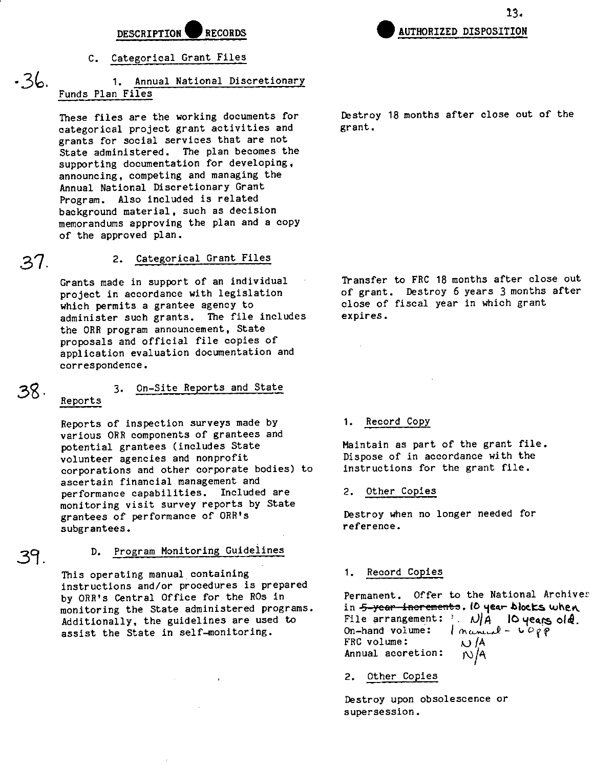

C. Categorical Grant Files

### $-36.$ 1. Annual National Discretionary Funds Plan Files

These files are the working documents for categorical project grant activities and grants for social services that are not State administered. The plan becomes the supporting documentation for developing, announcing, competing and managing the Annual National Discretionary Grant Program. Also included is related background material, such as decision memorandums approving the plan and a copy of the approved plan.

# 37.

2. Categorical Grant Files

Grants made in support of an individual project in accordance with legislation which permits a grantee agency to administer such grants. The file includes the ORR program announcement, State proposals and official file copies of application evaluation documentation and correspondence.

38.

39.

3. On-Site Reports and State Reports

Reports of inspection surveys made by various ORR components of grantees and potential grantees (includes State volunteer agencies and nonprofit corporations and other corporate bodies) to ascertain financial management and performance capabilities. Included are monitoring visit survey reports by State grantees of performance of ORR's subgrantees.

D. Program Monitoring Guidelines

This operating manual.containing instructions and/or procedures is prepared by ORR's Central Office for the ROs in monitoring the State administered programs. Additionally, the guidelines are used to assist the State in self-monitoring.

Destroy 18 months after close out of the grant.

.AUTHORIZED DISPOSITION

Transfer to FRC 18 months after close out of grant. Destroy 6 years 3 months after close of fiscal year in which grant expires.

1. Record Copy

Maintain as part of the grant file. Dispose of in accordance with the instructions for the grant file.

2. Other Copies

Destroy when no longer needed for reference.

# 1. Record Copies

Permanent. Offer to the National Archives in <del>5 year increments</del>. 10 year blocks when File arrangement: On-hand volume: FRC volume: Annual accretion: *: . N*/A 10 years old.<br>| nanual - voqp  $\overline{M}$ N/A.

2. Other Copies

Destroy upon obsolescence or supersession.

13,